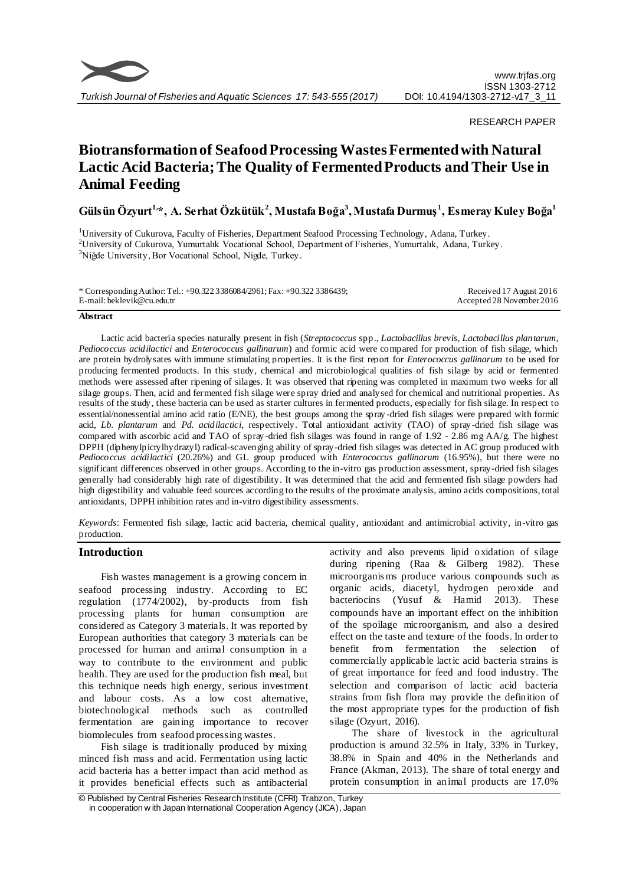

## RESEARCH PAPER

# **Biotransformation of Seafood Processing Wastes Fermented with Natural Lactic Acid Bacteria; The Quality of Fermented Products and Their Use in Animal Feeding**

**Gülsün Özyurt1, \*, A. Serhat Özkütük<sup>2</sup> , Mustafa Boğa<sup>3</sup> , Mustafa Durmuş <sup>1</sup> , Esmeray Kuley Boğa<sup>1</sup>**

<sup>1</sup>University of Cukurova, Faculty of Fisheries, Department Seafood Processing Technology, Adana, Turkey. <sup>2</sup>University of Cukurova, Yumurtalık Vocational School, Department of Fisheries, Yumurtalık, Adana, Turkey. <sup>3</sup>Niğde University, Bor Vocational School, Nigde, Turkey.

| * Corresponding Author: Tel.: +90.322 338 6084/2961; Fax: +90.322 338 6439; | Received 17 August 2016   |
|-----------------------------------------------------------------------------|---------------------------|
| E-mail: beklevik@cu.edu.tr                                                  | Accepted 28 November 2016 |
|                                                                             |                           |

#### **Abstract**

Lactic acid bacteria species naturally present in fish (*Streptococcus* spp., *Lactobacillus brevis*, *Lactobacillus plantarum, Pediococcus acidilactici* and *Enterococcus gallinarum*) and formic acid were compared for production of fish silage, which are protein hydrolysates with immune stimulating properties. It is the first report for *Enterococcus gallinarum* to be used for producing fermented products. In this study, chemical and microbiological qualities of fish silage by acid or fermented methods were assessed after ripening of silages. It was observed that ripening was completed in maximum two weeks for all silage groups. Then, acid and fermented fish silage were spray dried and analysed for chemical and nutritional properties. As results of the study, these bacteria can be used as starter cultures in fermented products, especially for fish silage. In respect to essential/nonessential amino acid ratio (E/NE), the best groups among the spray -dried fish silages were prepared with formic acid, *Lb. plantarum* and *Pd. acidilactici*, respectively. Total antioxidant activity (TAO) of spray-dried fish silage was compared with ascorbic acid and TAO of spray -dried fish silages was found in range of 1.92 - 2.86 mg AA/g. The highest DPPH (diphenylpicrylhydrazyl) radical-scavenging ability of spray-dried fish silages was detected in AC group produced with *Pediococcus acidilactici* (20.26%) and GL group produced with *Enterococcus gallinarum* (16.95%), but there were no significant differences observed in other groups. According to the in-vitro gas production assessment, spray-dried fish silages generally had considerably high rate of digestibility. It was determined that the acid and fermented fish silage powders had high digestibility and valuable feed sources according to the results of the proximate analysis, amino acids compositions, total antioxidants, DPPH inhibition rates and in-vitro digestibility assessments.

*Keywords*: Fermented fish silage, lactic acid bacteria, chemical quality, antioxidant and antimicrobial activity, in-vitro gas production.

## **Introduction**

Fish wastes management is a growing concern in seafood processing industry. According to EC regulation (1774/2002), by-products from fish processing plants for human consumption are considered as Category 3 materials. It was reported by European authorities that category 3 materials can be processed for human and animal consumption in a way to contribute to the environment and public health. They are used for the production fish meal, but this technique needs high energy, serious investment and labour costs. As a low cost alternative, biotechnological methods such as controlled fermentation are gaining importance to recover biomolecules from seafood processing wastes.

Fish silage is traditionally produced by mixing minced fish mass and acid. Fermentation using lactic acid bacteria has a better impact than acid method as it provides beneficial effects such as antibacterial activity and also prevents lipid oxidation of silage during ripening (Raa & Gilberg 1982). These microorganis ms produce various compounds such as organic acids, diacetyl, hydrogen peroxide and bacteriocins (Yusuf & Hamid 2013). These compounds have an important effect on the inhibition of the spoilage microorganism, and also a desired effect on the taste and texture of the foods. In order to benefit from fermentation the selection of commercially applicable lactic acid bacteria strains is of great importance for feed and food industry. The selection and comparison of lactic acid bacteria strains from fish flora may provide the definition of the most appropriate types for the production of fish silage (Ozyurt, 2016).

The share of livestock in the agricultural production is around 32.5% in Italy, 33% in Turkey, 38.8% in Spain and 40% in the Netherlands and France (Akman, 2013). The share of total energy and protein consumption in animal products are 17.0%

<sup>©</sup> Published by Central Fisheries Research Institute (CFRI) Trabzon, Turkey in cooperation w ith Japan International Cooperation Agency (JICA), Japan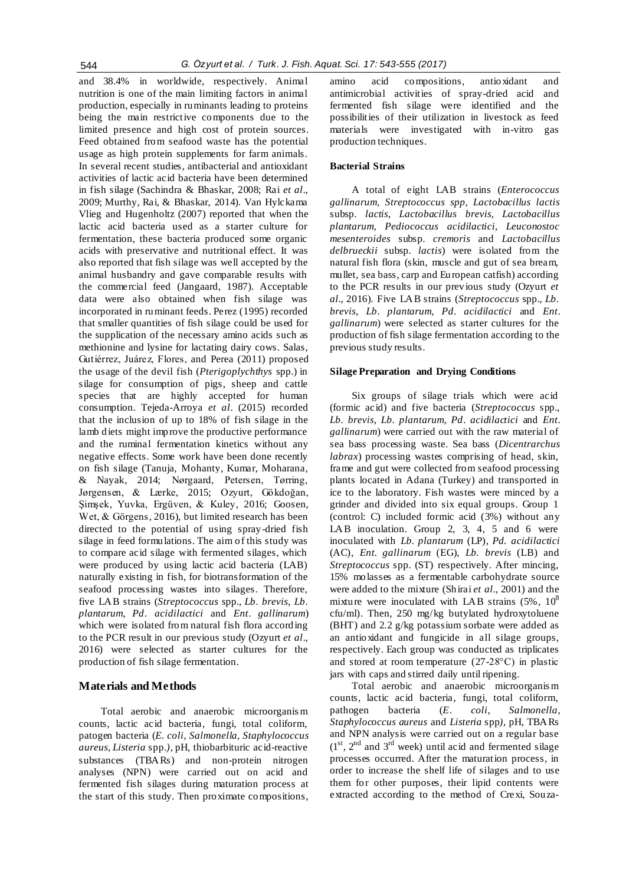and 38.4% in worldwide, respectively. Animal nutrition is one of the main limiting factors in animal production, especially in ruminants leading to proteins being the main restrictive components due to the limited presence and high cost of protein sources. Feed obtained from seafood waste has the potential usage as high protein supplements for farm animals. In several recent studies, antibacterial and antioxidant activities of lactic acid bacteria have been determined in fish silage (Sachindra & Bhaskar, 2008; Rai *et al*., 2009; Murthy, Rai, & Bhaskar, 2014). Van Hylckama Vlieg and Hugenholtz (2007) reported that when the lactic acid bacteria used as a starter culture for fermentation, these bacteria produced some organic acids with preservative and nutritional effect. It was also reported that fish silage was well accepted by the animal husbandry and gave comparable results with the commercial feed (Jangaard, 1987). Acceptable data were also obtained when fish silage was incorporated in ruminant feeds. Perez (1995) recorded that smaller quantities of fish silage could be used for the supplication of the necessary amino acids such as methionine and lysine for lactating dairy cows. Salas, Gutiérrez, Juárez, Flores, and Perea (2011) proposed the usage of the devil fish (*Pterigoplychthys* spp.) in silage for consumption of pigs, sheep and cattle species that are highly accepted for human consumption. Tejeda-Arroya *et al*. (2015) recorded that the inclusion of up to 18% of fish silage in the lamb diets might improve the productive performance and the ruminal fermentation kinetics without any negative effects. Some work have been done recently on fish silage (Tanuja, Mohanty, Kumar, Moharana, & Nayak, 2014; Nørgaard, Petersen, Tørring, Jørgensen, & Lærke, 2015; Ozyurt, Gökdoğan, Şimşek, Yuvka, Ergüven, & Kuley, 2016; Goosen, Wet, & Görgens, 2016), but limited research has been directed to the potential of using spray-dried fish silage in feed formulations. The aim of this study was to compare acid silage with fermented silages, which were produced by using lactic acid bacteria (LAB) naturally existing in fish, for biotransformation of the seafood processing wastes into silages. Therefore, five LAB strains (*Streptococcus* spp., *Lb*. *brevis*, *Lb*. *plantarum, Pd*. *acidilactici* and *Ent*. *gallinarum*) which were isolated from natural fish flora according to the PCR result in our previous study (Ozyurt *et al*., 2016) were selected as starter cultures for the production of fish silage fermentation.

## **Materials and Methods**

Total aerobic and anaerobic microorganis m counts, lactic acid bacteria, fungi, total coliform, patogen bacteria (*E. coli, Salmonella, Staphylococcus aureus, Listeria* spp.*),* pH, thiobarbituric acid-reactive substances (TBARs) and non-protein nitrogen analyses (NPN) were carried out on acid and fermented fish silages during maturation process at the start of this study. Then proximate compositions, amino acid compositions, antioxidant and antimicrobial activities of spray-dried acid and fermented fish silage were identified and the possibilities of their utilization in livestock as feed materials were investigated with in-vitro gas production techniques.

# **Bacterial Strains**

A total of eight LAB strains (*Enterococcus gallinarum, Streptococcus spp, Lactobacillus lactis*  subsp. *lactis, Lactobacillus brevis, Lactobacillus plantarum, Pediococcus acidilactici, Leuconostoc mesenteroides* subsp*. cremoris* and *Lactobacillus delbrueckii* subsp*. lactis*) were isolated from the natural fish flora (skin, muscle and gut of sea bream, mullet, sea bass, carp and European catfish) according to the PCR results in our previous study (Ozyurt *et al*., 2016). Five LAB strains (*Streptococcus* spp., *Lb*. *brevis*, *Lb*. *plantarum, Pd*. *acidilactici* and *Ent*. *gallinarum*) were selected as starter cultures for the production of fish silage fermentation according to the previous study results.

#### **Silage Preparation and Drying Conditions**

Six groups of silage trials which were acid (formic acid) and five bacteria (*Streptococcus* spp., *Lb*. *brevis*, *Lb*. *plantarum, Pd*. *acidilactici* and *Ent*. *gallinarum*) were carried out with the raw material of sea bass processing waste. Sea bass (*Dicentrarchus labrax*) processing wastes comprising of head, skin, frame and gut were collected from seafood processing plants located in Adana (Turkey) and transported in ice to the laboratory. Fish wastes were minced by a grinder and divided into six equal groups. Group 1 (control: C) included formic acid (3%) without any LAB inoculation. Group 2, 3, 4, 5 and 6 were inoculated with *Lb. plantarum* (LP)*, Pd. acidilactici*  (AC), *Ent. gallinarum* (EG), *Lb. brevis* (LB) and *Streptococcus* spp. (ST) respectively. After mincing, 15% molasses as a fermentable carbohydrate source were added to the mixture (Shirai *et al.*, 2001) and the mixture were inoculated with LAB strains  $(5\% , 10^8)$ cfu/ml). Then, 250 mg/kg butylated hydroxytoluene (BHT) and 2.2 g/kg potassium sorbate were added as an antioxidant and fungicide in all silage groups, respectively. Each group was conducted as triplicates and stored at room temperature (27-28°C) in plastic jars with caps and stirred daily until ripening.

Total aerobic and anaerobic microorganis m counts, lactic acid bacteria, fungi, total coliform, pathogen bacteria (*E. coli*, *Salmonella*, *Staphylococcus aureus* and *Listeria* spp*),* pH, TBARs and NPN analysis were carried out on a regular base  $(1<sup>st</sup>, 2<sup>nd</sup>$  and  $3<sup>rd</sup>$  week) until acid and fermented silage processes occurred. After the maturation process, in order to increase the shelf life of silages and to use them for other purposes, their lipid contents were extracted according to the method of Crexi, Souza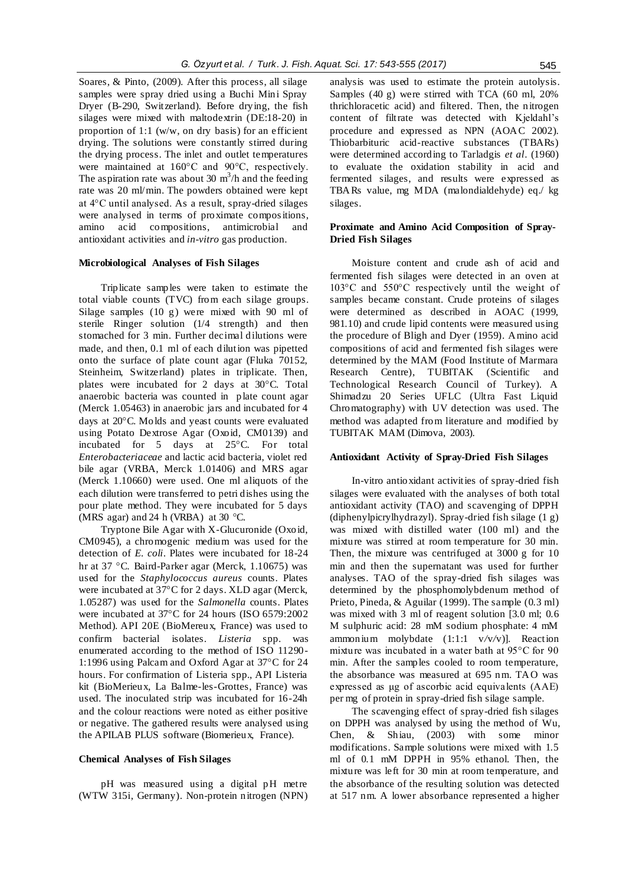Soares, & Pinto, (2009). After this process, all silage samples were spray dried using a Buchi Mini Spray Dryer (B-290, Switzerland). Before drying, the fish silages were mixed with maltodextrin (DE:18-20) in proportion of 1:1 (w/w, on dry basis) for an efficient drying. The solutions were constantly stirred during the drying process. The inlet and outlet temperatures were maintained at 160°C and 90°C, respectively. The aspiration rate was about 30  $\text{m}^3$ /h and the feeding rate was 20 ml/min. The powders obtained were kept at 4°C until analysed. As a result, spray-dried silages were analysed in terms of proximate compositions, amino acid compositions, antimicrobial and antioxidant activities and *in-vitro* gas production.

#### **Microbiological Analyses of Fish Silages**

Triplicate samples were taken to estimate the total viable counts (TVC) from each silage groups. Silage samples (10 g) were mixed with 90 ml of sterile Ringer solution (1/4 strength) and then stomached for 3 min. Further decimal dilutions were made, and then, 0.1 ml of each dilution was pipetted onto the surface of plate count agar (Fluka 70152, Steinheim, Switzerland) plates in triplicate. Then, plates were incubated for 2 days at 30°C. Total anaerobic bacteria was counted in plate count agar (Merck 1.05463) in anaerobic jars and incubated for 4 days at 20°C. Molds and yeast counts were evaluated using Potato Dextrose Agar (Oxoid, CM0139) and incubated for 5 days at 25°C. For total *Enterobacteriaceae* and lactic acid bacteria, violet red bile agar (VRBA, Merck 1.01406) and MRS agar (Merck 1.10660) were used. One ml aliquots of the each dilution were transferred to petri dishes using the pour plate method. They were incubated for 5 days (MRS agar) and 24 h (VRBA) at 30  $^{\circ}$ C.

Tryptone Bile Agar with X-Glucuronide (Oxoid, CM0945), a chromogenic medium was used for the detection of *E. coli*. Plates were incubated for 18-24 hr at 37 °C. Baird-Parker agar (Merck, 1.10675) was used for the *Staphylococcus aureus* counts. Plates were incubated at 37°C for 2 days. XLD agar (Merck, 1.05287) was used for the *Salmonella* counts. Plates were incubated at 37°C for 24 hours (ISO 6579:2002 Method). API 20E (BioMereux, France) was used to confirm bacterial isolates. *Listeria* spp. was enumerated according to the method of ISO 11290- 1:1996 using Palcam and Oxford Agar at 37°C for 24 hours. For confirmation of Listeria spp., API Listeria kit (BioMerieux, La Balme-les-Grottes, France) was used. The inoculated strip was incubated for 16-24h and the colour reactions were noted as either positive or negative. The gathered results were analysed using the APILAB PLUS software (Biomerieux, France).

#### **Chemical Analyses of Fish Silages**

pH was measured using a digital pH metre (WTW 315i, Germany). Non-protein nitrogen (NPN) analysis was used to estimate the protein autolysis. Samples (40 g) were stirred with TCA (60 ml, 20% thrichloracetic acid) and filtered. Then, the nitrogen content of filtrate was detected with Kjeldahl's procedure and expressed as NPN (AOAC 2002). Thiobarbituric acid-reactive substances (TBARs) were determined according to Tarladgis *et al*. (1960) to evaluate the oxidation stability in acid and fermented silages, and results were expressed as TBARs value, mg MDA (malondialdehyde) eq./ kg silages.

# **Proximate and Amino Acid Composition of Spray-Dried Fish Silages**

Moisture content and crude ash of acid and fermented fish silages were detected in an oven at 103°C and 550°C respectively until the weight of samples became constant. Crude proteins of silages were determined as described in AOAC (1999, 981.10) and crude lipid contents were measured using the procedure of Bligh and Dyer (1959). Amino acid compositions of acid and fermented fish silages were determined by the MAM (Food Institute of Marmara Research Centre), TUBITAK (Scientific and Technological Research Council of Turkey). A Shimadzu 20 Series UFLC (Ultra Fast Liquid Chromatography) with UV detection was used. The method was adapted from literature and modified by TUBITAK MAM (Dimova, 2003).

#### **Antioxidant Activity of Spray-Dried Fish Silages**

In-vitro antioxidant activities of spray-dried fish silages were evaluated with the analyses of both total antioxidant activity (TAO) and scavenging of DPPH (diphenylpicrylhydrazyl). Spray-dried fish silage (1 g) was mixed with distilled water (100 ml) and the mixture was stirred at room temperature for 30 min. Then, the mixture was centrifuged at 3000 g for 10 min and then the supernatant was used for further analyses. TAO of the spray-dried fish silages was determined by the phosphomolybdenum method of Prieto, Pineda, & Aguilar (1999). The sample (0.3 ml) was mixed with 3 ml of reagent solution [3.0 ml; 0.6 M sulphuric acid: 28 mM sodium phosphate: 4 mM ammonium molybdate (1:1:1 v*/*v*/*v)]. Reaction mixture was incubated in a water bath at 95°C for 90 min. After the samples cooled to room temperature, the absorbance was measured at 695 nm. TAO was expressed as μg of ascorbic acid equivalents (AAE) per mg of protein in spray-dried fish silage sample.

The scavenging effect of spray-dried fish silages on DPPH was analysed by using the method of Wu, Chen, & Shiau, (2003) with some minor modifications. Sample solutions were mixed with 1.5 ml of 0.1 mM DPPH in 95% ethanol. Then, the mixture was left for 30 min at room temperature, and the absorbance of the resulting solution was detected at 517 nm. A lower absorbance represented a higher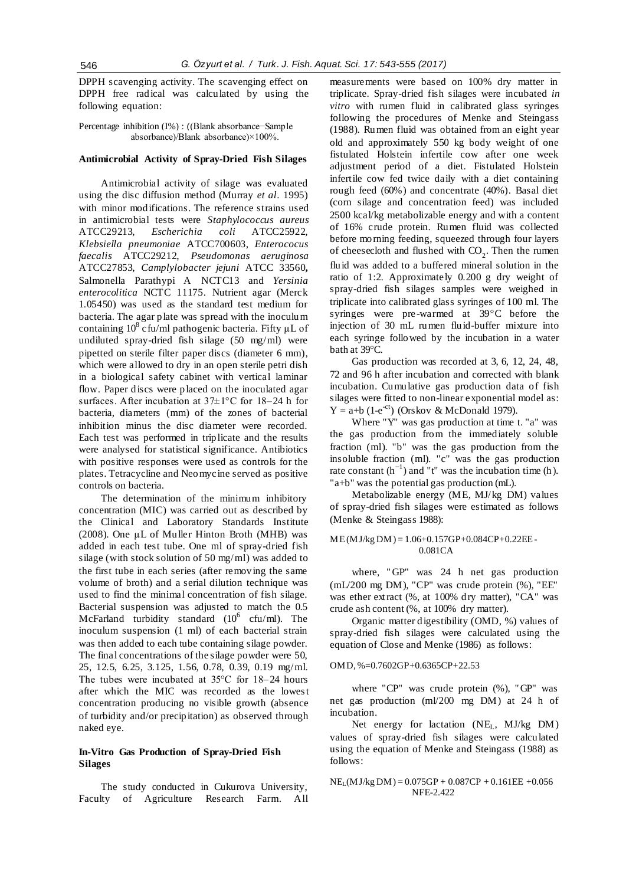DPPH scavenging activity. The scavenging effect on DPPH free radical was calculated by using the following equation:

Percentage inhibition (I%) : ((Blank absorbance−Sample absorbance)/Blank absorbance)×100%.

#### **Antimicrobial Activity of Spray-Dried Fish Silages**

Antimicrobial activity of silage was evaluated using the disc diffusion method (Murray *et al*. 1995) with minor modifications. The reference strains used in antimicrobial tests were *Staphylococcus aureus*  ATCC29213, *Escherichia coli* ATCC25922, *Klebsiella pneumoniae* ATCC700603, *Enterococus faecalis* ATCC29212, *Pseudomonas aeruginosa* ATCC27853, *Camplylobacter jejuni* ATCC 33560**,**  Salmonella Parathypi A NCTC13 and *Yersinia enterocolitica* NCTC 11175. Nutrient agar (Merck 1.05450) was used as the standard test medium for bacteria. The agar plate was spread with the inoculum containing  $10^8$  cfu/ml pathogenic bacteria. Fifty  $\mu$ L of undiluted spray-dried fish silage (50 mg/ml) were pipetted on sterile filter paper discs (diameter 6 mm), which were allowed to dry in an open sterile petri dish in a biological safety cabinet with vertical laminar flow. Paper discs were placed on the inoculated agar surfaces. After incubation at 37±1°C for 18–24 h for bacteria, diameters (mm) of the zones of bacterial inhibition minus the disc diameter were recorded. Each test was performed in triplicate and the results were analysed for statistical significance. Antibiotics with positive responses were used as controls for the plates. Tetracycline and Neomycine served as positive controls on bacteria.

The determination of the minimum inhibitory concentration (MIC) was carried out as described by the Clinical and Laboratory Standards Institute (2008). One μL of Muller Hinton Broth (MHB) was added in each test tube. One ml of spray-dried fish silage (with stock solution of 50 mg/ml) was added to the first tube in each series (after removing the same volume of broth) and a serial dilution technique was used to find the minimal concentration of fish silage. Bacterial suspension was adjusted to match the 0.5 McFarland turbidity standard  $(10^6 \text{ cftu/ml})$ . The inoculum suspension (1 ml) of each bacterial strain was then added to each tube containing silage powder. The final concentrations of the silage powder were 50, 25, 12.5, 6.25, 3.125, 1.56, 0.78, 0.39, 0.19 mg/ml. The tubes were incubated at 35°C for 18–24 hours after which the MIC was recorded as the lowest concentration producing no visible growth (absence of turbidity and/or precipitation) as observed through naked eye.

# **In-Vitro Gas Production of Spray-Dried Fish Silages**

The study conducted in Cukurova University, Faculty of Agriculture Research Farm. All measurements were based on 100% dry matter in triplicate. Spray-dried fish silages were incubated *in vitro* with rumen fluid in calibrated glass syringes following the procedures of Menke and Steingass (1988)*.* Rumen fluid was obtained from an eight year old and approximately 550 kg body weight of one fistulated Holstein infertile cow after one week adjustment period of a diet. Fistulated Holstein infertile cow fed twice daily with a diet containing rough feed (60%) and concentrate (40%). Basal diet (corn silage and concentration feed) was included 2500 kcal/kg metabolizable energy and with a content of 16% crude protein. Rumen fluid was collected before morning feeding, squeezed through four layers of cheesecloth and flushed with  $CO_2$ . Then the rumen fluid was added to a buffered mineral solution in the ratio of 1:2. Approximately 0.200 g dry weight of spray-dried fish silages samples were weighed in triplicate into calibrated glass syringes of 100 ml. The syringes were pre -warmed at 39°C before the injection of 30 mL rumen fluid-buffer mixture into each syringe followed by the incubation in a water bath at 39°C.

Gas production was recorded at 3, 6, 12, 24, 48, 72 and 96 h after incubation and corrected with blank incubation. Cumulative gas production data of fish silages were fitted to non-linear exponential model as:  $Y = a+b$  (1-e<sup>-ct</sup>) (Orskov & McDonald 1979).

Where "Y" was gas production at time t. "a" was the gas production from the immediately soluble fraction (ml). "b" was the gas production from the insoluble fraction (ml). "c" was the gas production rate constant  $(h^{-1})$  and "t" was the incubation time (h). "a+b" was the potential gas production (mL).

Metabolizable energy (ME, MJ/kg DM) values of spray-dried fish silages were estimated as follows (Menke & Steingass 1988):

#### ME (MJ/kg DM) = 1.06+0.157GP+0.084CP+0.22EE-0.081CA

where, " GP" was 24 h net gas production (mL/200 mg DM), "CP" was crude protein (%), "EE" was ether extract (%, at 100% dry matter), "CA" was crude ash content (%, at 100% dry matter).

Organic matter digestibility (OMD, %) values of spray-dried fish silages were calculated using the equation of Close and Menke (1986) as follows:

#### OMD, %=0.7602GP+0.6365CP+22.53

where "CP" was crude protein (%), "GP" was net gas production (ml/200 mg DM) at 24 h of incubation.

Net energy for lactation  $(NE_L, MJ/kg$  DM) values of spray-dried fish silages were calculated using the equation of Menke and Steingass (1988) as follows:

 $NE<sub>L</sub>(MJ/kg DM) = 0.075GP + 0.087CP + 0.161EE + 0.056$ NFE-2.422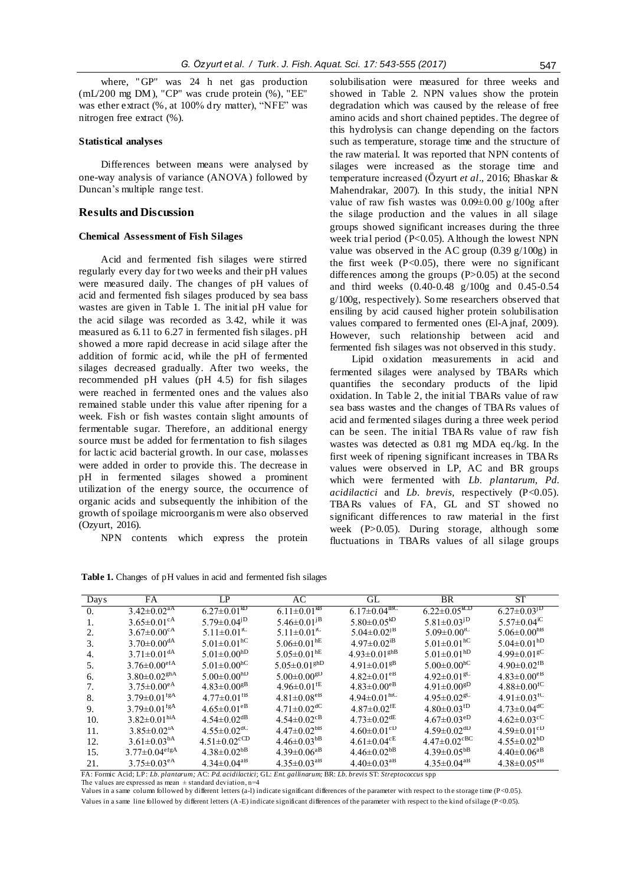where, " GP" was 24 h net gas production (mL/200 mg DM), "CP" was crude protein (%), "EE" was ether extract (%, at 100% dry matter), "NFE" was nitrogen free extract (%).

## **Statistical analyses**

Differences between means were analysed by one-way analysis of variance (ANOVA) followed by Duncan's multiple range test.

## **Results and Discussion**

## **Chemical Assessment of Fish Silages**

Acid and fermented fish silages were stirred regularly every day for two weeks and their pH values were measured daily. The changes of pH values of acid and fermented fish silages produced by sea bass wastes are given in Table 1. The initial pH value for the acid silage was recorded as 3.42, while it was measured as 6.11 to 6.27 in fermented fish silages. pH showed a more rapid decrease in acid silage after the addition of formic acid, while the pH of fermented silages decreased gradually. After two weeks, the recommended pH values (pH 4.5) for fish silages were reached in fermented ones and the values also remained stable under this value after ripening for a week. Fish or fish wastes contain slight amounts of fermentable sugar. Therefore, an additional energy source must be added for fermentation to fish silages for lactic acid bacterial growth. In our case, molasses were added in order to provide this. The decrease in pH in fermented silages showed a prominent utilization of the energy source, the occurrence of organic acids and subsequently the inhibition of the growth of spoilage microorganis m were also observed (Ozyurt, 2016).

NPN contents which express the protein

solubilisation were measured for three weeks and showed in Table 2. NPN values show the protein degradation which was caused by the release of free amino acids and short chained peptides. The degree of this hydrolysis can change depending on the factors such as temperature, storage time and the structure of the raw material. It was reported that NPN contents of silages were increased as the storage time and temperature increased (Özyurt *et al*., 2016; Bhaskar & Mahendrakar, 2007). In this study, the initial NPN value of raw fish wastes was  $0.09\pm0.00$  g/100g after the silage production and the values in all silage groups showed significant increases during the three week trial period ( $P<0.05$ ). Although the lowest NPN value was observed in the AC group  $(0.39 \text{ g}/100 \text{g})$  in the first week  $(P<0.05)$ , there were no significant differences among the groups (P>0.05) at the second and third weeks (0.40-0.48 g/100g and 0.45-0.54 g/100g, respectively). Some researchers observed that ensiling by acid caused higher protein solubilisation values compared to fermented ones (El-Ajnaf, 2009). However, such relationship between acid and fermented fish silages was not observed in this study.

Lipid oxidation measurements in acid and fermented silages were analysed by TBARs which quantifies the secondary products of the lipid oxidation. In Table 2, the initial TBARs value of raw sea bass wastes and the changes of TBARs values of acid and fermented silages during a three week period can be seen. The initial TBARs value of raw fish wastes was detected as 0.81 mg MDA eq./kg. In the first week of ripening significant increases in TBARs values were observed in LP, AC and BR groups which were fermented with *Lb. plantarum*, *Pd. acidilactici* and *Lb. brevis,* respectively (P<0.05). TBARs values of FA, GL and ST showed no significant differences to raw material in the first week (P>0.05). During storage, although some fluctuations in TBARs values of all silage groups

| Days       | FA.                             | LP                             | AC                             | GL.                            | BR.                            | ST.                           |
|------------|---------------------------------|--------------------------------|--------------------------------|--------------------------------|--------------------------------|-------------------------------|
| $\Omega$ . | $3.42 \pm 0.02^{aA}$            | $6.27 \pm 0.01^{kD}$           | $6.11 \pm 0.01^{kB}$           | $6.17 \pm 0.04$ <sup>BC</sup>  | $6.22 \pm 0.05^{kCD}$          | $6.27 \pm 0.03$ <sup>JD</sup> |
| 1.         | $3.65 \pm 0.01^{\text{cA}}$     | $5.79 \pm 0.04$ <sup>jD</sup>  | $5.46\pm0.01$ <sup>jB</sup>    | 5.80 $\pm$ 0.05 <sup>kD</sup>  | $5.81 \pm 0.03$ <sup>jD</sup>  | $5.57 \pm 0.04$ <sup>iC</sup> |
| 2.         | $3.67 \pm 0.00$ <sup>cA</sup>   | $5.11 \pm 0.01$ <sup>iC</sup>  | $5.11 \pm 0.01$ <sup>iC</sup>  | 5.04 $\pm$ 0.02 <sup>JB</sup>  | $5.09 \pm 0.00^{\rm iC}$       | $5.06 \pm 0.00$ <sup>hB</sup> |
| 3.         | $3.70 \pm 0.00$ <sup>dA</sup>   | $5.01 \pm 0.01$ <sup>hC</sup>  | $5.06 \pm 0.01$ <sup>hE</sup>  | $4.97 \pm 0.02$ <sup>iB</sup>  | $5.01 \pm 0.01$ <sup>hC</sup>  | $5.04 \pm 0.01$ <sup>hD</sup> |
| 4.         | $3.71 \pm 0.01$ <sup>dA</sup>   | $5.01 \pm 0.00$ <sup>hD</sup>  | $5.05 \pm 0.01$ <sup>hE</sup>  | $4.93 \pm 0.01$ <sup>ghB</sup> | $5.01 \pm 0.01$ <sup>hD</sup>  | $4.99 \pm 0.01$ <sup>gC</sup> |
| 5.         | $3.76 \pm 0.00$ <sup>efA</sup>  | $5.01 \pm 0.00$ <sup>hC</sup>  | $5.05 \pm 0.01$ <sup>ghD</sup> | $4.91 \pm 0.01$ <sup>gB</sup>  | $5.00 \pm 0.00$ <sup>hC</sup>  | 4.90 $\pm$ 0.02 <sup>fB</sup> |
| 6.         | $3.80 \pm 0.02$ <sup>ghA</sup>  | $5.00 \pm 0.00^{hD}$           | $5.00 \pm 0.00$ <sup>gD</sup>  | $4.82 \pm 0.01$ <sup>eB</sup>  | $4.92 \pm 0.01$ <sup>gC</sup>  | $4.83 \pm 0.00^{eB}$          |
| 7.         | $3.75 \pm 0.00$ <sup>eA</sup>   | $4.83 \pm 0.00$ <sup>gB</sup>  | $4.96 \pm 0.01$ <sup>fE</sup>  | $4.83 \pm 0.00^{\mathrm{eB}}$  | $4.91 \pm 0.00$ <sup>gD</sup>  | $4.88 \pm 0.00$ <sup>fC</sup> |
| 8.         | $3.79 \pm 0.01$ <sup>fgA</sup>  | $4.77 \pm 0.01$ <sup>fB</sup>  | $4.81 \pm 0.08$ <sup>eB</sup>  | 4.94 $\pm$ 0.01 <sup>hic</sup> | $4.95 \pm 0.02$ <sup>gC</sup>  | 4.91 $\pm$ 0.03 <sup>fC</sup> |
| 9.         | $3.79 \pm 0.01$ <sup>fgA</sup>  | $4.65 \pm 0.01^{\text{eB}}$    | $4.71 \pm 0.02$ <sup>dC</sup>  | $4.87 \pm 0.02$ <sup>fE</sup>  | $4.80 \pm 0.03$ <sup>fD</sup>  | $4.73 \pm 0.04$ <sup>dC</sup> |
| 10.        | $3.82 \pm 0.01$ hiA             | $4.54 \pm 0.02$ <sup>dB</sup>  | $4.54 \pm 0.02$ <sup>cB</sup>  | $4.73 \pm 0.02$ <sup>dE</sup>  | $4.67 \pm 0.03^{eD}$           | $4.62 \pm 0.03$ <sup>cC</sup> |
| 11.        | $3.85 \pm 0.02$ <sup>iA</sup>   | $4.55 \pm 0.02$ <sup>dC</sup>  | $4.47 \pm 0.02$ <sup>bB</sup>  | $4.60 \pm 0.01$ <sup>cD</sup>  | $4.59 \pm 0.02$ <sup>dD</sup>  | 4.59 $\pm$ 0.01 <sup>cD</sup> |
| 12.        | $3.61 \pm 0.03^{bA}$            | $4.51 \pm 0.02$ <sup>cCD</sup> | $4.46 \pm 0.03^{b}$            | $4.61 \pm 0.04$ <sup>cE</sup>  | $4.47 \pm 0.02$ <sup>cBC</sup> | $4.55 \pm 0.02$ <sup>bD</sup> |
| 15.        | $3.77 \pm 0.04$ <sup>efgA</sup> | $4.38 \pm 0.02$ <sup>bB</sup>  | $4.39 \pm 0.06$ <sup>aB</sup>  | $4.46 \pm 0.02$ <sup>bB</sup>  | $4.39 \pm 0.05^{bB}$           | $4.40 \pm 0.06$ <sup>aB</sup> |
| 21.        | $3.75 \pm 0.03^{\text{eA}}$     | $4.34 \pm 0.04$ <sup>aB</sup>  | $4.35 \pm 0.03$ <sup>aB</sup>  | $4.40 \pm 0.03$ <sup>aB</sup>  | $4.35 \pm 0.04$ <sup>aB</sup>  | $4.38 \pm 0.05$ <sup>aB</sup> |

Table 1. Changes of pH values in acid and fermented fish silages

FA: Formic Acid; LP: *Lb. plantarum;* AC: *Pd. acidilactici*; GL: *Ent. gallinarum;* BR: *Lb. brevis* ST: *Streptococcus* spp

The values are expressed as mean  $\pm$  standard deviation, n=4

Values in a same column followed by different letters (a-l) indicate significant differences of the parameter with respect to the storage time  $(P<0.05)$ .

Values in a same line followed by different letters (A-E) indicate significant differences of the parameter with respect to the kind of silage (P<0.05).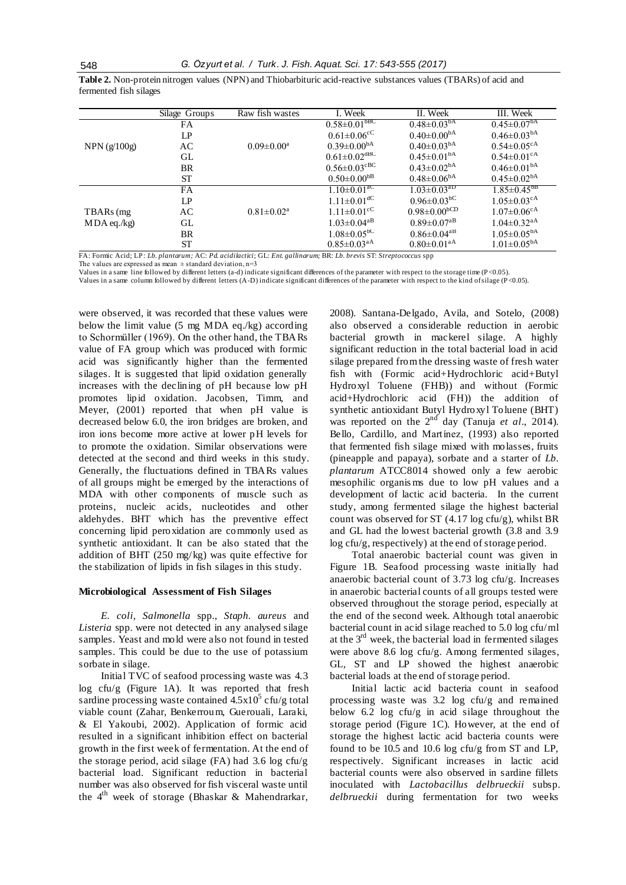**Table 2.** Non-protein nitrogen values (NPN) and Thiobarbituric acid-reactive substances values (TBARs) of acid and fermented fish silages

|                        | Silage Groups | Raw fish wastes   | I. Week                        | II. Week                       | III. Week                     |
|------------------------|---------------|-------------------|--------------------------------|--------------------------------|-------------------------------|
|                        | FA            |                   | $0.58 \pm 0.01$ <sup>bBC</sup> | $0.48 \pm 0.03bA$              | $0.45 \pm 0.07^{bA}$          |
|                        | LP            |                   | $0.61 \pm 0.06$ <sup>cC</sup>  | $0.40 \pm 0.00^{bA}$           | $0.46 \pm 0.03^{\text{bA}}$   |
| $NPN$ (g/100g)         | AC            | $0.09 \pm 0.00^a$ | $0.39 \pm 0.00^{bA}$           | $0.40 \pm 0.03^{\text{bA}}$    | $0.54 \pm 0.05$ <sup>cA</sup> |
|                        | GL            |                   | $0.61 \pm 0.02$ <sup>dBC</sup> | $0.45 \pm 0.01bA$              | $0.54 \pm 0.01$ <sup>cA</sup> |
|                        | BR            |                   | $0.56 \pm 0.03$ <sup>cBC</sup> | $0.43 \pm 0.02^{\text{bA}}$    | $0.46 \pm 0.01bA$             |
|                        | <b>ST</b>     |                   | $0.50 \pm 0.00^{b}$            | $0.48 \pm 0.06^{\rm bA}$       | $0.45 \pm 0.02^{\text{bA}}$   |
|                        | FA            |                   | $1.10 \pm 0.01$ <sup>aC</sup>  | $1.03 \pm 0.03$ <sup>aD</sup>  | $1.85 \pm 0.45^{0B}$          |
|                        | LP            |                   | $1.11 \pm 0.01^{\text{dC}}$    | $0.96 \pm 0.03$ <sup>bC</sup>  | $1.05 \pm 0.03$ <sup>cA</sup> |
| TBAR <sub>s</sub> (mg) | AC            | $0.81 \pm 0.02^a$ | $1.11 \pm 0.01^{\circ}$        | $0.98 \pm 0.00$ <sup>bCD</sup> | $1.07 \pm 0.06^{\text{cA}}$   |
| $MDA$ eq./kg)          | GL            |                   | $1.03 \pm 0.04$ <sup>aB</sup>  | $0.89 \pm 0.07$ <sup>aB</sup>  | $1.04 \pm 0.32$ <sup>aA</sup> |
|                        | BR            |                   | $1.08 \pm 0.05$ <sup>bC</sup>  | $0.86 \pm 0.04$ <sup>aB</sup>  | $1.05 \pm 0.05^{bA}$          |
|                        | <b>ST</b>     |                   | $0.85 \pm 0.03$ <sup>aA</sup>  | $0.80 \pm 0.01$ <sup>aA</sup>  | $1.01 \pm 0.05^{bA}$          |

FA: Formic Acid; LP: *Lb. plantarum;* AC: *Pd. acidilactici*; GL: *Ent. gallinarum;* BR: *Lb. brevis* ST: *Streptococcus* spp

The values are expressed as mean  $+$  standard deviation,  $n=3$ 

Values in a same line followed by different letters (a-d) indicate significant differences of the parameter with respect to the storage time (P<0.05).

Values in a same column followed by different letters (A-D) indicate significant differences of the parameter with respect to the kind of silage (P<0.05).

were observed, it was recorded that these values were below the limit value (5 mg MDA eq./kg) according to Schormüller (1969). On the other hand, the TBARs value of FA group which was produced with formic acid was significantly higher than the fermented silages. It is suggested that lipid oxidation generally increases with the declining of pH because low pH promotes lipid oxidation. Jacobsen, Timm, and Meyer, (2001) reported that when pH value is decreased below 6.0, the iron bridges are broken, and iron ions become more active at lower pH levels for to promote the oxidation. Similar observations were detected at the second and third weeks in this study. Generally, the fluctuations defined in TBARs values of all groups might be emerged by the interactions of MDA with other components of muscle such as proteins, nucleic acids, nucleotides and other aldehydes. BHT which has the preventive effect concerning lipid peroxidation are commonly used as synthetic antioxidant. It can be also stated that the addition of BHT (250 mg/kg) was quite effective for the stabilization of lipids in fish silages in this study.

#### **Microbiological Assessment of Fish Silages**

*E. coli, Salmonella* spp*., Staph. aureus* and *Listeria* spp. were not detected in any analysed silage samples. Yeast and mold were also not found in tested samples. This could be due to the use of potassium sorbate in silage.

Initial TVC of seafood processing waste was 4.3 log cfu/g (Figure 1A). It was reported that fresh sardine processing waste contained  $4.5 \times 10^5$  cfu/g total viable count (Zahar, Benkerroum, Guerouali, Laraki, & El Yakoubi, 2002). Application of formic acid resulted in a significant inhibition effect on bacterial growth in the first week of fermentation. At the end of the storage period, acid silage (FA) had 3.6 log cfu/g bacterial load. Significant reduction in bacterial number was also observed for fish visceral waste until the 4<sup>th</sup> week of storage (Bhaskar & Mahendrarkar,

2008). Santana-Delgado, Avila, and Sotelo, (2008) also observed a considerable reduction in aerobic bacterial growth in mackerel silage. A highly significant reduction in the total bacterial load in acid silage prepared from the dressing waste of fresh water fish with (Formic acid+Hydrochloric acid+Butyl Hydroxyl Toluene (FHB)) and without (Formic acid+Hydrochloric acid (FH)) the addition of synthetic antioxidant Butyl Hydroxyl Toluene (BHT) was reported on the  $2^{nd}$  day (Tanuja *et al.*, 2014). Bello, Cardillo, and Martínez, (1993) also reported that fermented fish silage mixed with molasses, fruits (pineapple and papaya), sorbate and a starter of *Lb. plantarum* ATCC8014 showed only a few aerobic mesophilic organis ms due to low pH values and a development of lactic acid bacteria. In the current study, among fermented silage the highest bacterial count was observed for ST (4.17 log cfu/g), whilst BR and GL had the lowest bacterial growth (3.8 and 3.9 log cfu/g, respectively) at the end of storage period.

Total anaerobic bacterial count was given in Figure 1B. Seafood processing waste initially had anaerobic bacterial count of 3.73 log cfu/g. Increases in anaerobic bacterial counts of all groups tested were observed throughout the storage period, especially at the end of the second week. Although total anaerobic bacterial count in acid silage reached to 5.0 log cfu/ml at the  $3<sup>rd</sup>$  week, the bacterial load in fermented silages were above 8.6 log cfu/g. Among fermented silages, GL*,* ST and LP showed the highest anaerobic bacterial loads at the end of storage period.

Initial lactic acid bacteria count in seafood processing waste was 3.2 log cfu/g and remained below 6.2 log cfu/g in acid silage throughout the storage period (Figure 1C). However, at the end of storage the highest lactic acid bacteria counts were found to be 10.5 and 10.6 log cfu/g from ST and LP, respectively. Significant increases in lactic acid bacterial counts were also observed in sardine fillets inoculated with *Lactobacillus delbrueckii* subsp. *delbrueckii* during fermentation for two weeks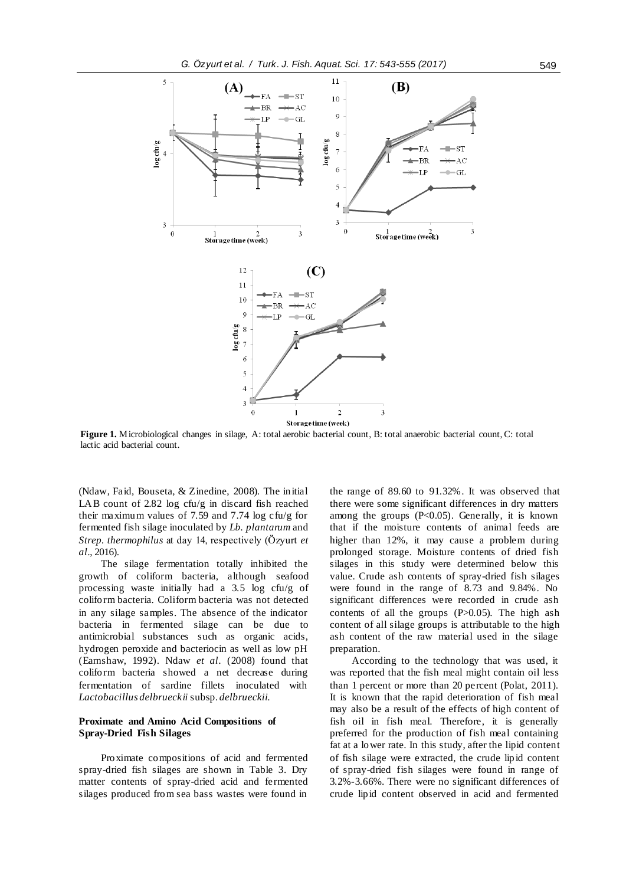

**Figure 1.** Microbiological changes in silage, A: total aerobic bacterial count, B: total anaerobic bacterial count, C: total lactic acid bacterial count.

(Ndaw, Faid, Bouseta, & Zinedine, 2008). The initial LAB count of 2.82 log cfu/g in discard fish reached their maximum values of 7.59 and 7.74 log cfu/g for fermented fish silage inoculated by *Lb. plantarum* and *Strep. thermophilus* at day 14, respectively (Özyurt *et al*., 2016).

The silage fermentation totally inhibited the growth of coliform bacteria, although seafood processing waste initially had a 3.5 log cfu/g of coliform bacteria. Coliform bacteria was not detected in any silage samples. The absence of the indicator bacteria in fermented silage can be due to antimicrobial substances such as organic acids, hydrogen peroxide and bacteriocin as well as low pH (Earnshaw, 1992). Ndaw *et al*. (2008) found that coliform bacteria showed a net decrease during fermentation of sardine fillets inoculated with *Lactobacillus delbrueckii* subsp. *delbrueckii*.

## **Proximate and Amino Acid Compositions of Spray-Dried Fish Silages**

Proximate compositions of acid and fermented spray-dried fish silages are shown in Table 3. Dry matter contents of spray-dried acid and fermented silages produced from sea bass wastes were found in

the range of 89.60 to 91.32%. It was observed that there were some significant differences in dry matters among the groups (P<0.05). Generally, it is known that if the moisture contents of animal feeds are higher than 12%, it may cause a problem during prolonged storage. Moisture contents of dried fish silages in this study were determined below this value. Crude ash contents of spray-dried fish silages were found in the range of 8.73 and 9.84%. No significant differences were recorded in crude ash contents of all the groups (P>0.05). The high ash content of all silage groups is attributable to the high ash content of the raw material used in the silage preparation.

According to the technology that was used, it was reported that the fish meal might contain oil less than 1 percent or more than 20 percent (Polat, 2011). It is known that the rapid deterioration of fish meal may also be a result of the effects of high content of fish oil in fish meal. Therefore, it is generally preferred for the production of fish meal containing fat at a lower rate. In this study, after the lipid content of fish silage were extracted, the crude lipid content of spray-dried fish silages were found in range of 3.2%-3.66%. There were no significant differences of crude lipid content observed in acid and fermented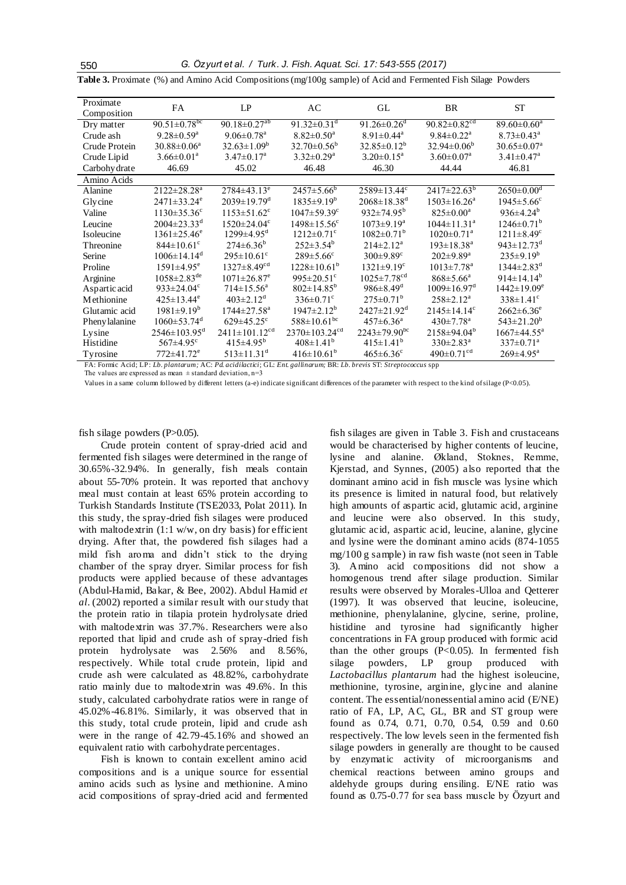550 *G. Özyurt et al. / Turk. J. Fish. Aquat. Sci. 17: 543-555 (2017)*

| Proximate         |                                | LP                             | AC                            | GL                             | BR                             | <b>ST</b>                    |
|-------------------|--------------------------------|--------------------------------|-------------------------------|--------------------------------|--------------------------------|------------------------------|
| Composition       | FA                             |                                |                               |                                |                                |                              |
| Dry matter        | 90.51 $\pm$ 0.78 <sup>bc</sup> | 90.18 $\pm$ 0.27 <sup>ab</sup> | 91.32 $\pm$ 0.31 <sup>d</sup> | 91.26 $\pm$ 0.26 <sup>d</sup>  | 90.82 $\pm$ 0.82 <sup>cd</sup> | $89.60 \pm 0.60^a$           |
| Crude ash         | $9.28 \pm 0.59$ <sup>a</sup>   | $9.06 \pm 0.78$ <sup>a</sup>   | $8.82 \pm 0.50^a$             | $8.91 \pm 0.44$ <sup>a</sup>   | $9.84 \pm 0.22$ <sup>a</sup>   | $8.73 \pm 0.43^{\text{a}}$   |
| Crude Protein     | $30.88 \pm 0.06^a$             | $32.63 \pm 1.09^b$             | $32.70 \pm 0.56^b$            | $32.85 \pm 0.12^b$             | $32.94 \pm 0.06^b$             | $30.65 \pm 0.07^{\text{a}}$  |
| Crude Lipid       | $3.66 \pm 0.01^a$              | $3.47 \pm 0.17^a$              | $3.32 \pm 0.29^a$             | $3.20 \pm 0.15^{\text{a}}$     | $3.60 \pm 0.07$ <sup>a</sup>   | $3.41 \pm 0.47$ <sup>a</sup> |
| Carbohy drate     | 46.69                          | 45.02                          | 46.48                         | 46.30                          | 44.44                          | 46.81                        |
| Amino Acids       |                                |                                |                               |                                |                                |                              |
| Alanine           | $2122 \pm 28.28^a$             | $2784 \pm 43.13$ <sup>e</sup>  | $2457 \pm 5.66^b$             | $2589 \pm 13.44$ °             | $2417 \pm 22.63^b$             | $2650 \pm 0.00^{\circ}$      |
| Glycine           | $2471 \pm 33.24$ <sup>e</sup>  | $2039 \pm 19.79$ <sup>d</sup>  | $1835 \pm 9.19^b$             | $2068 \pm 18.38$ <sup>d</sup>  | $1503 \pm 16.26^a$             | $1945 \pm 5.66$ <sup>c</sup> |
| Valine            | $1130 \pm 35.36^{\circ}$       | $1153 \pm 51.62$ <sup>c</sup>  | $1047 \pm 59.39$ <sup>c</sup> | $932 \pm 74.95^b$              | $825 \pm 0.00^a$               | $936\pm4.24^b$               |
| Leucine           | $2004 \pm 23.33$ <sup>d</sup>  | $1520 \pm 24.04$ <sup>c</sup>  | $1498 \pm 15.56$ <sup>c</sup> | $1073 \pm 9.19^a$              | $1044 \pm 11.31^a$             | $1246 \pm 0.71^{\rm b}$      |
| <i>Isoleucine</i> | $1361 \pm 25.46^e$             | $1299 \pm 4.95$ <sup>d</sup>   | $1212 \pm 0.71$ <sup>c</sup>  | $1082 \pm 0.71^{\circ}$        | $1020 \pm 0.71$ <sup>a</sup>   | $1211 \pm 8.49$ <sup>c</sup> |
| Threonine         | $844 \pm 10.61$ <sup>c</sup>   | $274 \pm 6.36^b$               | $252 \pm 3.54^b$              | $214 \pm 2.12^a$               | $193 \pm 18.38^a$              | $943 \pm 12.73$ <sup>d</sup> |
| Serine            | $1006 \pm 14.14^d$             | $295 \pm 10.61$ <sup>c</sup>   | $289 \pm 5.66$ <sup>c</sup>   | $300\pm9.89^{\circ}$           | $202 \pm 9.89$ <sup>a</sup>    | $235\pm9.19^b$               |
| Proline           | $1591 \pm 4.95$ <sup>e</sup>   | $1327 \pm 8.49$ <sup>cd</sup>  | $1228 \pm 10.61^{\mathrm{b}}$ | $1321 \pm 9.19^c$              | $1013 \pm 7.78$ <sup>a</sup>   | $1344 \pm 2.83$ <sup>d</sup> |
| Arginine          | $1058 \pm 2.83$ <sup>de</sup>  | $1071 \pm 26.87$ <sup>e</sup>  | $995 \pm 20.51$ °             | $1025 \pm 7.78$ <sup>cd</sup>  | $868 \pm 5.66^a$               | 914 $\pm$ 14 14 <sup>b</sup> |
| Aspartic acid     | 933 $\pm$ 24.04°               | $714 \pm 15.56^a$              | $802 \pm 14.85^b$             | $986 \pm 8.49$ <sup>d</sup>    | $1009 \pm 16.97$ <sup>d</sup>  | $1442 \pm 19.09^e$           |
| Methionine        | $425 \pm 13.44$ <sup>e</sup>   | $403 \pm 2.12$ <sup>d</sup>    | $336 \pm 0.71$ °              | $275 \pm 0.71^{\rm b}$         | $258 \pm 2.12^a$               | $338 \pm 1.41$ <sup>c</sup>  |
| Glutamic acid     | $1981 \pm 9.19^b$              | $1744 \pm 27.58^a$             | $1947 \pm 2.12^b$             | $2427 \pm 21.92$ <sup>d</sup>  | $2145 \pm 14.14$ <sup>c</sup>  | $2662 \pm 6.36^e$            |
| Pheny lalanine    | $1060 \pm 53.74$ <sup>d</sup>  | $629 \pm 45.25$ °              | $588 \pm 10.61$ <sup>bc</sup> | $457 \pm 6.36^a$               | $430 \pm 7.78$ <sup>a</sup>    | $543 \pm 21.20^b$            |
| Lysine            | $2546 \pm 103.95$ <sup>d</sup> | $2411 \pm 101.12^{cd}$         | $2370 \pm 103.24^{cd}$        | $2243 \pm 79.90$ <sup>bc</sup> | $2158 \pm 94.04^b$             | $1667 \pm 44.55^{\text{a}}$  |
| Histidine         | $567 \pm 4.95$ <sup>c</sup>    | $415 \pm 4.95^b$               | $408 \pm 1.41^b$              | $415 \pm 1.41^b$               | $330 \pm 2.83$ <sup>a</sup>    | $337 \pm 0.71^{\text{a}}$    |
| Tyrosine          | $772 \pm 41.72$ <sup>e</sup>   | $513 \pm 11.31$ <sup>d</sup>   | $416\pm10.61^{\rm b}$         | $465 \pm 6.36$ <sup>c</sup>    | $490 \pm 0.71$ <sup>cd</sup>   | $269 \pm 4.95^{\text{a}}$    |

**Table 3.** Proximate (%) and Amino Acid Compositions (mg/100g sample) of Acid and Fermented Fish Silage Powders

FA: Formic Acid; LP: *Lb. plantarum;* AC: *Pd. acidilactici*; GL: *Ent. gallinarum;* BR: *Lb. brevis* ST: *Streptococcus* spp

The values are expressed as mean  $\pm$  standard deviation, n=3

Values in a same column followed by different letters (a-e) indicate significant differences of the parameter with respect to the kind of silage (P<0.05).

#### fish silage powders  $(P>0.05)$ .

Crude protein content of spray-dried acid and fermented fish silages were determined in the range of 30.65%-32.94%. In generally, fish meals contain about 55-70% protein. It was reported that anchovy meal must contain at least 65% protein according to Turkish Standards Institute (TSE2033, Polat 2011). In this study, the spray-dried fish silages were produced with maltodextrin  $(1:1 \text{ w/w}, \text{on dry basis})$  for efficient drying. After that, the powdered fish silages had a mild fish aroma and didn't stick to the drying chamber of the spray dryer. Similar process for fish products were applied because of these advantages (Abdul-Hamid, Bakar, & Bee, 2002). Abdul Hamid *et al*. (2002) reported a similar result with our study that the protein ratio in tilapia protein hydrolysate dried with maltodextrin was 37.7%. Researchers were also reported that lipid and crude ash of spray-dried fish protein hydrolysate was 2.56% and 8.56%, respectively. While total crude protein, lipid and crude ash were calculated as 48.82%, carbohydrate ratio mainly due to maltodextrin was 49.6%. In this study, calculated carbohydrate ratios were in range of 45.02%-46.81%. Similarly, it was observed that in this study, total crude protein, lipid and crude ash were in the range of 42.79-45.16% and showed an equivalent ratio with carbohydrate percentages.

Fish is known to contain excellent amino acid compositions and is a unique source for essential amino acids such as lysine and methionine. Amino acid compositions of spray-dried acid and fermented fish silages are given in Table 3. Fish and crustaceans would be characterised by higher contents of leucine, lysine and alanine. Økland, Stoknes, Remme, Kjerstad, and Synnes, (2005) also reported that the dominant amino acid in fish muscle was lysine which its presence is limited in natural food, but relatively high amounts of aspartic acid, glutamic acid, arginine and leucine were also observed. In this study, glutamic acid, aspartic acid, leucine, alanine, glycine and lysine were the dominant amino acids (874-1055 mg/100 g sample) in raw fish waste (not seen in Table 3). Amino acid compositions did not show a homogenous trend after silage production. Similar results were observed by Morales-Ulloa and Qetterer (1997). It was observed that leucine, isoleucine, methionine, phenylalanine, glycine, serine, proline, histidine and tyrosine had significantly higher concentrations in FA group produced with formic acid than the other groups  $(P<0.05)$ . In fermented fish silage powders, LP group produced with *Lactobacillus plantarum* had the highest isoleucine, methionine, tyrosine, arginine, glycine and alanine content. The essential/nonessential amino acid (E/NE) ratio of FA, LP, AC, GL, BR and ST group were found as 0.74, 0.71, 0.70, 0.54, 0.59 and 0.60 respectively. The low levels seen in the fermented fish silage powders in generally are thought to be caused by enzymatic activity of microorganisms and chemical reactions between amino groups and aldehyde groups during ensiling. E/NE ratio was found as 0.75-0.77 for sea bass muscle by Özyurt and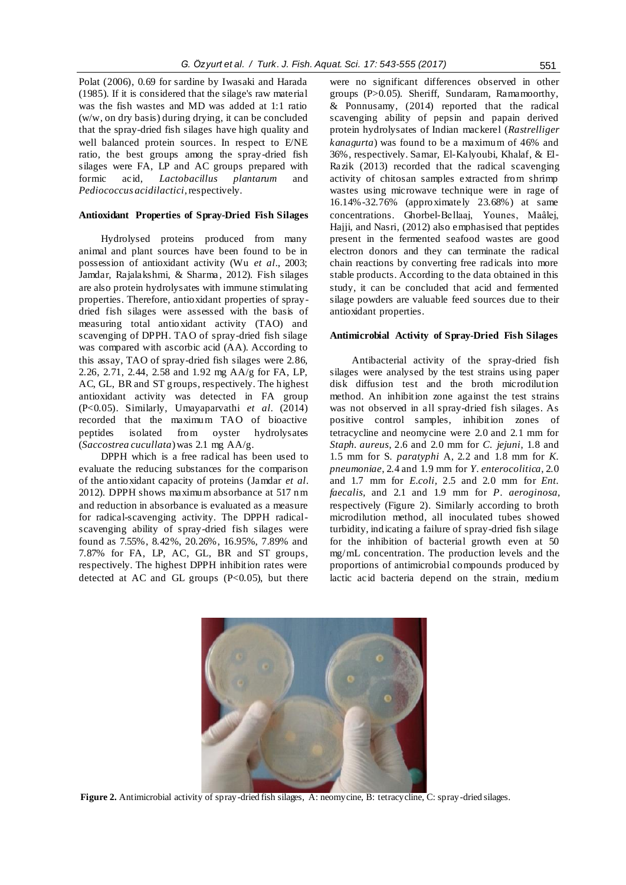Polat (2006), 0.69 for sardine by Iwasaki and Harada (1985). If it is considered that the silage's raw material was the fish wastes and MD was added at 1:1 ratio (w/w, on dry basis) during drying, it can be concluded that the spray-dried fish silages have high quality and well balanced protein sources. In respect to E/NE ratio, the best groups among the spray-dried fish silages were FA, LP and AC groups prepared with formic acid, *Lactobacillus plantarum* and *Pediococcus acidilactici*, respectively.

## **Antioxidant Properties of Spray-Dried Fish Silages**

Hydrolysed proteins produced from many animal and plant sources have been found to be in possession of antioxidant activity (Wu *et al*., 2003; Jamdar, Rajalakshmi, & Sharma, 2012). Fish silages are also protein hydrolysates with immune stimulating properties. Therefore, antioxidant properties of spraydried fish silages were assessed with the basis of measuring total antioxidant activity (TAO) and scavenging of DPPH. TAO of spray-dried fish silage was compared with ascorbic acid (AA). According to this assay, TAO of spray-dried fish silages were 2.86, 2.26, 2.71, 2.44, 2.58 and 1.92 mg AA/g for FA, LP, AC, GL, BR and ST groups, respectively. The highest antioxidant activity was detected in FA group (P<0.05). Similarly, Umayaparvathi *et al*. (2014) recorded that the maximum TAO of bioactive peptides isolated from oyster hydrolysates (*Saccostrea cucullata*) was 2.1 mg AA/g.

DPPH which is a free radical has been used to evaluate the reducing substances for the comparison of the antioxidant capacity of proteins (Jamdar *et al*. 2012). DPPH shows maximum absorbance at 517 nm and reduction in absorbance is evaluated as a measure for radical-scavenging activity. The DPPH radicalscavenging ability of spray-dried fish silages were found as 7.55%, 8.42%, 20.26%, 16.95%, 7.89% and 7.87% for FA, LP, AC, GL, BR and ST groups, respectively. The highest DPPH inhibition rates were detected at AC and GL groups  $(P<0.05)$ , but there were no significant differences observed in other groups (P>0.05). Sheriff, Sundaram, Ramamoorthy, & Ponnusamy, (2014) reported that the radical scavenging ability of pepsin and papain derived protein hydrolysates of Indian mackerel (*Rastrelliger kanagurta*) was found to be a maximum of 46% and 36%, respectively. Samar, El-Kalyoubi, Khalaf, & El-Razik (2013) recorded that the radical scavenging activity of chitosan samples extracted from shrimp wastes using microwave technique were in rage of 16.14%-32.76% (approximately 23.68%) at same concentrations. Ghorbel-Bellaaj, Younes, Maâlej, Hajji, and Nasri, (2012) also emphasised that peptides present in the fermented seafood wastes are good electron donors and they can terminate the radical chain reactions by converting free radicals into more stable products. According to the data obtained in this study, it can be concluded that acid and fermented silage powders are valuable feed sources due to their antioxidant properties.

#### **Antimicrobial Activity of Spray-Dried Fish Silages**

Antibacterial activity of the spray-dried fish silages were analysed by the test strains using paper disk diffusion test and the broth microdilution method. An inhibition zone against the test strains was not observed in all spray-dried fish silages. As positive control samples, inhibition zones of tetracycline and neomycine were 2.0 and 2.1 mm for *Staph. aureus*, 2.6 and 2.0 mm for *C. jejuni*, 1.8 and 1.5 mm for S. *paratyphi* A, 2.2 and 1.8 mm for *K. pneumoniae*, 2.4 and 1.9 mm for *Y. enterocolitica*, 2.0 and 1.7 mm for *E.coli,* 2.5 and 2.0 mm for *Ent. faecalis,* and 2.1 and 1.9 mm for *P. aeroginosa,* respectively (Figure 2). Similarly according to broth microdilution method, all inoculated tubes showed turbidity, indicating a failure of spray-dried fish silage for the inhibition of bacterial growth even at 50 mg/mL concentration. The production levels and the proportions of antimicrobial compounds produced by lactic acid bacteria depend on the strain, medium



**Figure 2.** Antimicrobial activity of spray-dried fish silages, A: neomycine, B: tetracycline, C: spray-dried silages.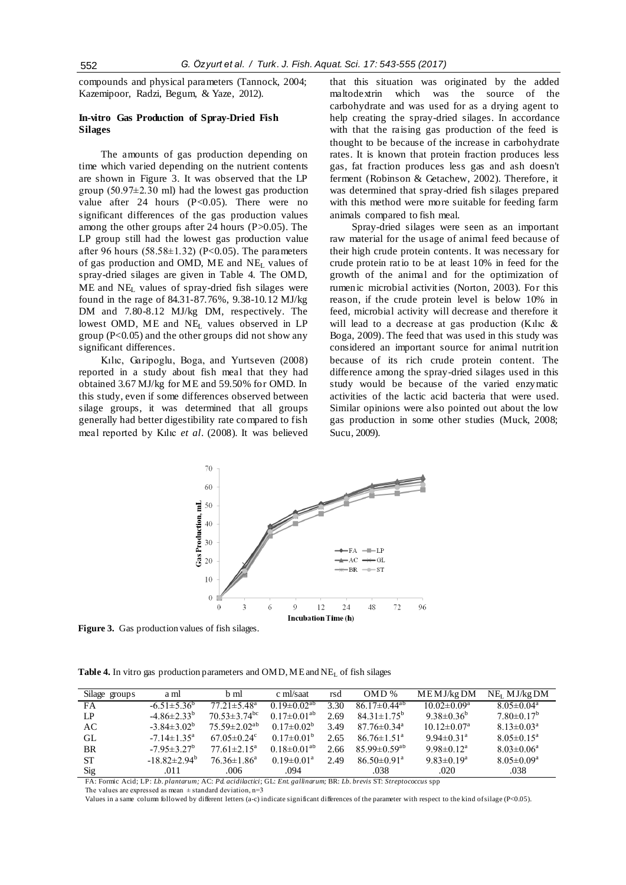compounds and physical parameters (Tannock, 2004; Kazemipoor, Radzi, Begum, & Yaze, 2012).

## **In-vitro Gas Production of Spray-Dried Fish Silages**

The amounts of gas production depending on time which varied depending on the nutrient contents are shown in Figure 3. It was observed that the LP group (50.97±2.30 ml) had the lowest gas production value after 24 hours  $(P<0.05)$ . There were no significant differences of the gas production values among the other groups after 24 hours  $(P>0.05)$ . The LP group still had the lowest gas production value after 96 hours  $(58.58 \pm 1.32)$  (P<0.05). The parameters of gas production and OMD,  $ME$  and  $NE<sub>L</sub>$  values of spray-dried silages are given in Table 4. The OMD,  $ME$  and  $NE<sub>L</sub>$  values of spray-dried fish silages were found in the rage of 84.31-87.76%, 9.38-10.12 MJ/kg DM and 7.80-8.12 MJ/kg DM, respectively. The lowest OMD, ME and NE<sub>L</sub> values observed in LP group  $(P<0.05)$  and the other groups did not show any significant differences.

Kılıc, Garipoglu, Boga, and Yurtseven (2008) reported in a study about fish meal that they had obtained 3.67 MJ/kg for ME and 59.50% for OMD. In this study, even if some differences observed between silage groups, it was determined that all groups generally had better digestibility rate compared to fish meal reported by Kılıc *et al*. (2008). It was believed that this situation was originated by the added maltodextrin which was the source of the carbohydrate and was used for as a drying agent to help creating the spray-dried silages. In accordance with that the raising gas production of the feed is thought to be because of the increase in carbohydrate rates. It is known that protein fraction produces less gas, fat fraction produces less gas and ash doesn't ferment (Robinson & Getachew, 2002). Therefore, it was determined that spray-dried fish silages prepared with this method were more suitable for feeding farm animals compared to fish meal.

Spray-dried silages were seen as an important raw material for the usage of animal feed because of their high crude protein contents. It was necessary for crude protein ratio to be at least 10% in feed for the growth of the animal and for the optimization of rumenic microbial activities (Norton, 2003). For this reason, if the crude protein level is below 10% in feed, microbial activity will decrease and therefore it will lead to a decrease at gas production (Kılıc & Boga, 2009). The feed that was used in this study was considered an important source for animal nutrition because of its rich crude protein content. The difference among the spray-dried silages used in this study would be because of the varied enzymatic activities of the lactic acid bacteria that were used. Similar opinions were also pointed out about the low gas production in some other studies (Muck, 2008; Sucu, 2009).



**Figure 3.** Gas production values of fish silages.

Table 4. In vitro gas production parameters and OMD, ME and NE<sub>L</sub> of fish silages

| Silage groups | a ml                          | b ml                           | c ml/saat               | rsd  | OMD%                           | MEMJ/kg DM                   | $NEL$ MJ/kg DM             |
|---------------|-------------------------------|--------------------------------|-------------------------|------|--------------------------------|------------------------------|----------------------------|
| FA            | $-6.51 \pm 5.36^b$            | $77.21 \pm 5.48$ <sup>a</sup>  | $0.19 \pm 0.02^{ab}$    | 3.30 | $86.17 \pm 0.44$ <sup>ab</sup> | $10.02 \pm 0.09^a$           | $8.05 \pm 0.04^a$          |
| LP            | $-4.86\pm2.33^{b}$            | $70.53 \pm 3.74$ <sup>bc</sup> | $0.17 \pm 0.01^{ab}$    | 2.69 | $84.31 \pm 1.75^b$             | $9.38 \pm 0.36^b$            | $7.80\pm0.17^b$            |
| AC            | $-3.84 \pm 3.02^b$            | $75.59 \pm 2.02^{ab}$          | $0.17 \pm 0.02^b$       | 3.49 | $87.76 \pm 0.34$ <sup>a</sup>  | $10.12 \pm 0.07^{\rm a}$     | $8.13 \pm 0.03^a$          |
| GL            | $-7.14 \pm 1.35$ <sup>a</sup> | $67.05 \pm 0.24$ <sup>c</sup>  | $0.17 \pm 0.01^{\rm b}$ | 2.65 | $86.76 \pm 1.51^{\circ}$       | $9.94 \pm 0.31$ <sup>a</sup> | $8.05 \pm 0.15^{\text{a}}$ |
| <b>BR</b>     | $-7.95 \pm 3.27^{\rm b}$      | $77.61 \pm 2.15^a$             | $0.18 \pm 0.01^{ab}$    | 2.66 | $85.99 \pm 0.59$ <sup>ab</sup> | $9.98 \pm 0.12^a$            | $8.03 \pm 0.06^a$          |
| <b>ST</b>     | $-18.82 \pm 2.94^{\circ}$     | $76.36 \pm 1.86^a$             | $0.19 \pm 0.01^a$       | 2.49 | $86.50 \pm 0.91$ <sup>a</sup>  | $9.83 \pm 0.19^a$            | $8.05 \pm 0.09^a$          |
| Sig           | .011                          | .006                           | .094                    |      | .038                           | .020                         | .038                       |

FA: Formic Acid; LP: *Lb. plantarum;* AC: *Pd. acidilactici*; GL: *Ent. gallinarum;* BR: *Lb. brevis* ST: *Streptococcus* spp

The values are expressed as mean  $\pm$  standard deviation, n=3

Values in a same column followed by different letters (a-c) indicate significant differences of the parameter with respect to the kind of silage (P<0.05).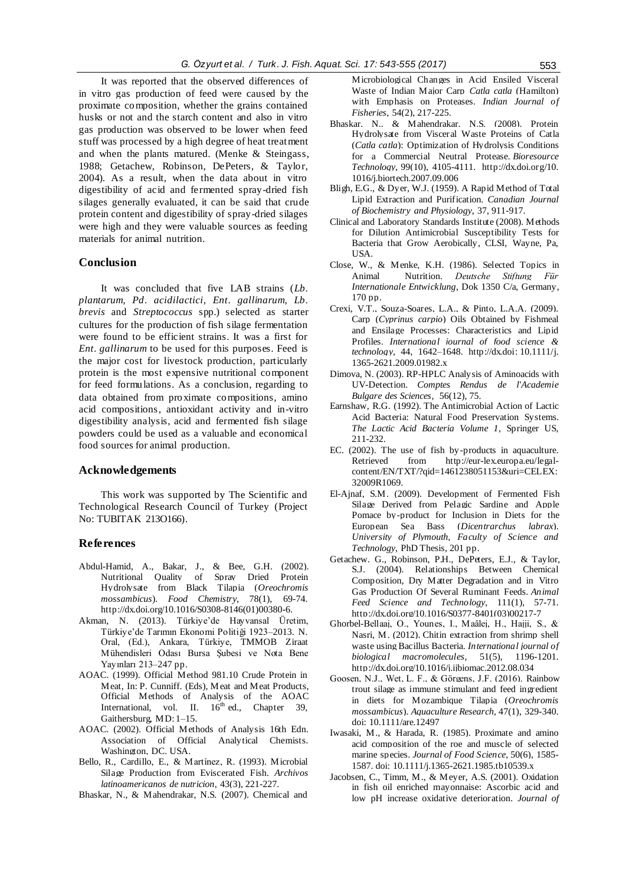It was reported that the observed differences of in vitro gas production of feed were caused by the proximate composition, whether the grains contained husks or not and the starch content and also in vitro gas production was observed to be lower when feed stuff was processed by a high degree of heat treatment and when the plants matured. (Menke & Steingass, 1988; Getachew, Robinson, DePeters, & Taylor, 2004). As a result, when the data about in vitro digestibility of acid and fermented spray-dried fish silages generally evaluated, it can be said that crude protein content and digestibility of spray-dried silages were high and they were valuable sources as feeding materials for animal nutrition.

# **Conclusion**

It was concluded that five LAB strains (*Lb*. *plantarum, Pd*. *acidilactici, Ent*. *gallinarum, Lb*. *brevis* and *Streptococcus* spp.) selected as starter cultures for the production of fish silage fermentation were found to be efficient strains. It was a first for *Ent*. *gallinarum* to be used for this purposes. Feed is the major cost for livestock production, particularly protein is the most expensive nutritional component for feed formulations. As a conclusion, regarding to data obtained from proximate compositions, amino acid compositions, antioxidant activity and in-vitro digestibility analysis, acid and fermented fish silage powders could be used as a valuable and economical food sources for animal production.

## **Acknowledgements**

This work was supported by The Scientific and Technological Research Council of Turkey (Project No: TUBITAK 213O166).

#### **References**

- Abdul-Hamid, A., Bakar, J., & Bee, G.H. (2002). Nutritional Quality of Spray Dried Protein Hydrolysate from Black Tilapia (*Oreochromis mossambicus*). *Food Chemistry*, 78(1), 69-74. [http://dx.doi.org/10.1016/S0308-8146\(01\)00380-6.](http://dx.doi.org/10.1016/S0308-8146(01)00380-6)
- Akman, N. (2013). Türkiye'de Hayvansal Üretim, Türkiye'de Tarımın Ekonomi Politiği 1923–2013. N. Oral, (Ed.), Ankara, Türkiye, TMMOB Ziraat Mühendisleri Odası Bursa Şubesi ve Nota Bene Yayınları 213–247 pp.
- AOAC. (1999). Official Method 981.10 Crude Protein in Meat, In: P. Cunniff. (Eds), Meat and Meat Products, Official Methods of Analysis of the AOAC International, vol. II.  $16<sup>th</sup>$  ed., Chapter 39, Gaithersburg, MD: 1–15.
- AOAC. (2002). Official Methods of Analysis 16th Edn. Association of Official Analytical Chemists. Washington, DC. USA.
- [Bello, R.,](http://www.ncbi.nlm.nih.gov/pubmed/?term=Bello%20R%5BAuthor%5D&cauthor=true&cauthor_uid=8779624) [Cardillo, E.,](http://www.ncbi.nlm.nih.gov/pubmed/?term=Cardillo%20E%5BAuthor%5D&cauthor=true&cauthor_uid=8779624) & [Martínez, R.](http://www.ncbi.nlm.nih.gov/pubmed/?term=Mart%C3%ADnez%20R%5BAuthor%5D&cauthor=true&cauthor_uid=8779624) (1993). Microbial Silage Production from Eviscerated Fish. *Archivos latinoamericanos de nutricion*, 43(3), 221-227.
- Bhaskar, N., & Mahendrakar, N.S. (2007). Chemical and

Microbiological Changes in Acid Ensiled Visceral Waste of Indian Major Carp *Catla catla* (Hamilton) with Emphasis on Proteases. *Indian Journal of Fisheries*, 54(2), 217-225.

- Bhaskar, N., & Mahendrakar, N.S. (2008). Protein Hydrolysate from Visceral Waste Proteins of Catla (*Catla catla*): Optimization of Hydrolysis Conditions for a Commercial Neutral Protease. *[Bioresource](http://www.sciencedirect.com/science/journal/09608524)  [Technology,](http://www.sciencedirect.com/science/journal/09608524)* 99(10), 4105-4111. http://dx.doi.org/10. 1016/j.biortech.2007.09.006
- Bligh, E.G., & Dyer, W.J. (1959). A Rapid Method of Total Lipid Extraction and Purification*. Canadian Journal of Biochemistry and Physiology*, 37, 911-917.
- Clinical and Laboratory Standards Institute (2008). Methods for Dilution Antimicrobial Susceptibility Tests for Bacteria that Grow Aerobically, CLSI, Wayne, Pa, USA.
- Close, W., & Menke, K.H. (1986). Selected Topics in Animal Nutrition. *Deutsche Stiftung Für Internationale Entwicklung*, Dok 1350 C/a, Germany,  $170 \text{nn}$
- Crexi, V.T., Souza-Soares, L.A., & Pinto, L.A.A. (2009). Carp (*Cyprinus carpio*) Oils Obtained by Fishmeal and Ensilage Processes: Characteristics and Lipid Profiles. *International journal of food science & technology*, 44, 1642–1648. http://dx.doi: 10.1111/j. 1365-2621.2009.01982.x
- Dimova, N. (2003). RP-HPLC Analysis of Aminoacids with UV-Detection. *Comptes Rendus de l'Academie Bulgare des Sciences*, 56(12), 75.
- Earnshaw, R.G. (1992). The Antimicrobial Action of Lactic Acid Bacteria: Natural Food Preservation Systems. *The Lactic Acid Bacteria Volume 1*, Springer US, 211-232.
- EC. (2002). The use of fish by-products in aquaculture. Retrieved from http://eur-lex.europa.eu/legalcontent/EN/TXT/?qid=1461238051153&uri=CELEX: 32009R1069.
- El-Ajnaf, S.M. (2009). Development of Fermented Fish Silage Derived from Pelagic Sardine and Apple Pomace by-product for Inclusion in Diets for the European Sea Bass (*Dicentrarchus labrax*). *University of Plymouth, Faculty of Science and Technology*, PhD Thesis, 201 pp.
- Getachew. G., Robinson, P.H., DePeters, E.J., & Taylor, S.J. (2004). Relationships Between Chemical Composition, Dry Matter Degradation and in Vitro Gas Production Of Several Ruminant Feeds. *[Animal](http://www.sciencedirect.com/science/journal/03778401)  [Feed Science and Technology](http://www.sciencedirect.com/science/journal/03778401)*, 111(1), 57-71. [http://dx.doi.org/10.1016/S0377-8401\(03\)00217-7](http://dx.doi.org/10.1016/S0377-8401(03)00217-7)
- Ghorbel-Bellaaj, O., Younes, I., Maâlej, H., Hajji, S., & Nasri, M. (2012). Chitin extraction from shrimp shell waste using Bacillus Bacteria. *International journal of biological macromolecules*, 51(5), 1196-1201. <http://dx.doi.org/10.1016/j.ijbiomac.2012.08.034>
- Goosen, N.J., Wet, L. F., & Görgens, J.F. (2016). Rainbow trout silage as immune stimulant and feed ingredient in diets for Mozambique Tilapia (*Oreochromis mossambicus*). *Aquaculture Research*, 47(1), 329-340. doi: 10.1111/are.12497
- Iwasaki, M., & Harada, R. (1985). Proximate and amino acid composition of the roe and muscle of selected marine species. *Journal of Food Science*, 50(6), 1585- 1587. doi: 10.1111/j.1365-2621.1985.tb10539.x
- Jacobsen, C., Timm, M., & Meyer, A.S. (2001). Oxidation in fish oil enriched mayonnaise: Ascorbic acid and low pH increase oxidative deterioration. *Journal of*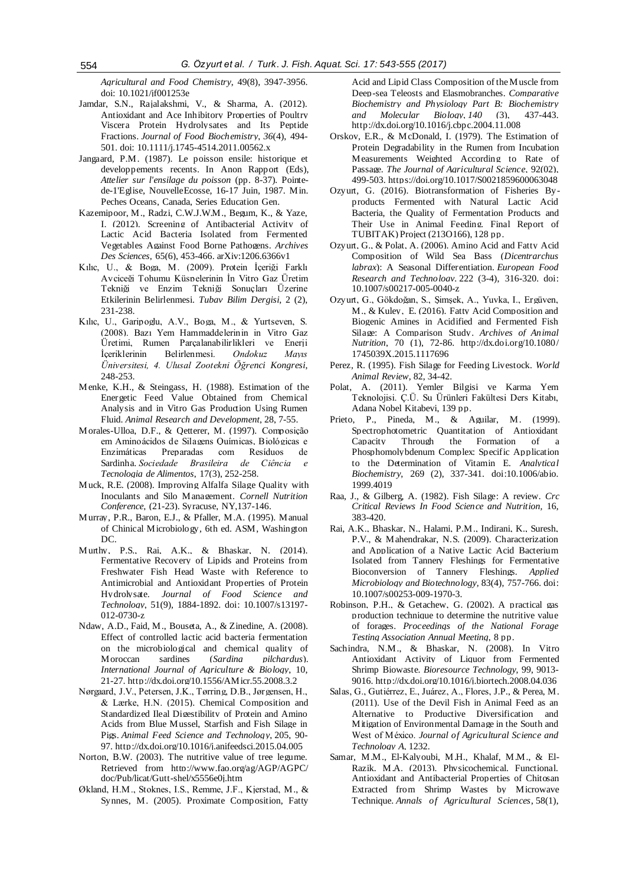*Agricultural and Food Chemistry*, 49(8), 3947-3956. doi: 10.1021/jf001253e

- Jamdar, S.N., Rajalakshmi, V., & Sharma, A. (2012). Antioxidant and Ace Inhibitory Properties of Poultry Viscera Protein Hydrolysates and Its Peptide Fractions. *Journal of Food Biochemistry*, *36*(4), 494- 501. doi: 10.1111/j.1745-4514.2011.00562.x
- Jangaard, P.M. (1987). Le poisson ensile: historique et developpements recents. In Anon Rapport (Eds), *Attelier sur l'ensilage du poisson* (pp. 8-37)*.* Pointede-1'Eglise, NouvelleEcosse, 16-17 Juin, 1987. Min. Peches Oceans, Canada, Series Education Gen.
- Kazemipoor, M., Radzi, C.W.J.W.M., Begum, K., & Yaze, I. (2012). Screening of Antibacterial Activity of Lactic Acid Bacteria Isolated from Fermented Vegetables Against Food Borne Pathogens. *Archives Des Sciences,* 65(6), 453-466. arXiv:1206.6366v1
- Kılıc, U., & Boga, M. (2009). Protein İçeriği Farklı Ayçiçeği Tohumu Küspelerinin İn Vitro Gaz Üretim Tekniği ve Enzim Tekniği Sonuçları Üzerine Etkilerinin Belirlenmesi. *Tubav Bilim Dergisi*, 2 (2), 231-238.
- Kılıc, U., Garipoglu, A.V., Boga, M., & Yurtseven, S. (2008). Bazı Yem Hammaddelerinin in Vitro Gaz Üretimi, Rumen Parçalanabilirlikleri ve Enerji İçeriklerinin Belirlenmesi. *Ondokuz Mayıs Üniversitesi, 4. Ulusal Zootekni Öğrenci Kongresi*, 248-253.
- Menke, K.H., & Steingass, H. (1988). Estimation of the Energetic Feed Value Obtained from Chemical Analysis and in Vitro Gas Production Using Rumen Fluid. *[Animal Research and Development,](https://www.daf.qld.gov.au/research/research-areas/animal-r-and-d)* 28, 7-55.
- Morales-Ulloa, D.F., & Qetterer, M. (1997). Composição em Aminoácidos de Silagens Ouímicas. Biológicas e Enzimáticas Preparadas com Resíduos de Enzimáticas Sardinha. *Sociedade Brasileira de Ciência e Tecnologia de Alimentos*, 17(3), 252-258.
- Muck, R.E. (2008). Improving Alfalfa Silage Quality with Inoculants and Silo Management. *Cornell Nutrition Conference,* (21-23). Syracuse, NY,137-146.
- Murray, P.R., Baron, E.J., & Pfaller, M.A. (1995). Manual of Chinical Microbiology, 6th ed. ASM, Washington DC.
- Murthy, P.S., Rai, A.K., & Bhaskar, N. (2014). Fermentative Recovery of Lipids and Proteins from Freshwater Fish Head Waste with Reference to Antimicrobial and Antioxidant Properties of Protein Hydrolysate. *Journal of Food Science and Technology*, 51(9), 1884-1892. doi: 10.1007/s13197- 012-0730-z
- Ndaw, A.D., Faid, M., Bouseta, A., & Zinedine, A. (2008). Effect of controlled lactic acid bacteria fermentation on the microbiological and chemical quality of Moroccan sardines (*Sardina pilchardus*). *International Journal of Agriculture & Biology*, 10, 21-27. <http://dx.doi.org/10.1556/AMicr.55.2008.3.2>
- Nørgaard, J.V., Petersen, J.K., Tørring, D.B., Jørgensen, H., & Lærke, H.N. (2015). Chemical Composition and Standardized Ileal Digestibility of Protein and Amino Acids from Blue Mussel, Starfish and Fish Silage in Pigs. *Animal Feed Science and Technology*, 205, 90- 97.<http://dx.doi.org/10.1016/j.anifeedsci.2015.04.005>
- Norton, B.W. (2003). The nutritive value of tree legume. Retrieved from http://www.fao.org/ag/AGP/AGPC/ doc/Pub/licat/Gutt-shel/x5556e0j.htm
- Økland, H.M., Stoknes, I.S., Remme, J.F., Kjerstad, M., & Synnes, M. (2005). Proximate Composition, Fatty

Acid and Lipid Class Composition of the Muscle from Deep-sea Teleosts and Elasmobranches. *Comparative Biochemistry and Physiology Part B: Biochemistry and Molecular Biology*, *140* (3), 437-443. http://dx.doi.org/10.1016/j.cbpc.2004.11.008

- Orskov, E.R., & McDonald, I. (1979). The Estimation of Protein Degradability in the Rumen from Incubation Measurements Weighted According to Rate of Passage. *The Journal of Agricultural Science*, 92(02), 499-503. https://doi.org/10.1017/S0021859600063048
- Ozyurt, G. (2016). Biotransformation of Fisheries Byproducts Fermented with Natural Lactic Acid Bacteria, the Quality of Fermentation Products and Their Use in Animal Feeding. Final Report of TUBITAK) Project (213O166), 128 pp.
- Ozyurt, G., & Polat, A. (2006). Amino Acid and Fatty Acid Composition of Wild Sea Bass (*Dicentrarchus labrax*): A Seasonal Differentiation. *European Food Research and Technology*, 222 (3-4), 316-320. doi: 10.1007/s00217-005-0040-z
- Ozyurt, G., Gökdoğan, S., Şimşek, A., Yuvka, I., Ergüven, M., & Kuley, E. (2016). Fatty Acid Composition and Biogenic Amines in Acidified and Fermented Fish Silage: A Comparison Study. *Archives of Animal Nutrition*, 70 (1), 72-86. http://dx.doi.org/10.1080/ 1745039X.2015.1117696
- Perez, R. (1995). Fish Silage for Feeding Livestock. *World Animal Review*, 82, 34-42.
- Polat, A. (2011). Yemler Bilgisi ve Karma Yem Teknolojisi. Ç.Ü. Su Ürünleri Fakültesi Ders Kitabı, Adana Nobel Kitabevi, 139 pp.
- Prieto, P., Pineda, M., & Aguilar, M. (1999). Spectrophotometric Quantitation of Antioxidant Capacity Through the Formation of a Phosphomolybdenum Complex: Specific Application to the Determination of Vitamin E. *Analytical Biochemistry*, 269 (2), 337-341. [doi:10.1006/abio.](http://dx.doi.org/10.1006/abio.1999.4019) [1999.4019](http://dx.doi.org/10.1006/abio.1999.4019)
- Raa, J., & Gilberg, A. (1982). Fish Silage: A review. *Crc Critical Reviews In Food Science and Nutrition,* 16, 383-420.
- Rai, A.K., Bhaskar, N., Halami, P.M., Indirani, K., Suresh, P.V., & Mahendrakar, N.S. (2009). Characterization and Application of a Native Lactic Acid Bacterium Isolated from Tannery Fleshings for Fermentative Bioconversion of Tannery Fleshings. *Applied Microbiology and Biotechnology,* 83(4), 757-766. doi: 10.1007/s00253-009-1970-3.
- Robinson, P.H., & Getachew, G. (2002). A practical gas production technique to determine the nutritive value of forages. *Proceedings of the National Forage Testing Association Annual Meeting*, 8 pp.
- Sachindra, N.M., & Bhaskar, N. (2008). In Vitro Antioxidant Activity of Liquor from Fermented Shrimp Biowaste. *Bioresource Technology*, 99, 9013- 9016. http://dx.doi.org/10.1016/j.biortech.2008.04.036
- Salas, G., Gutiérrez, E., Juárez, A., Flores, J.P., & Perea, M. (2011). Use of the Devil Fish in Animal Feed as an Alternative to Productive Diversification and Mitigation of Environmental Damage in the South and West of México. *Journal of Agricultural Science and Technology A*, 1232.
- Samar, M.M., El-Kalyoubi, M.H., Khalaf, M.M., & El-Razik, M.A. (2013). Physicochemical, Functional, Antioxidant and Antibacterial Properties of Chitosan Extracted from Shrimp Wastes by Microwave Technique. *Annals of Agricultural Sciences*, 58(1),